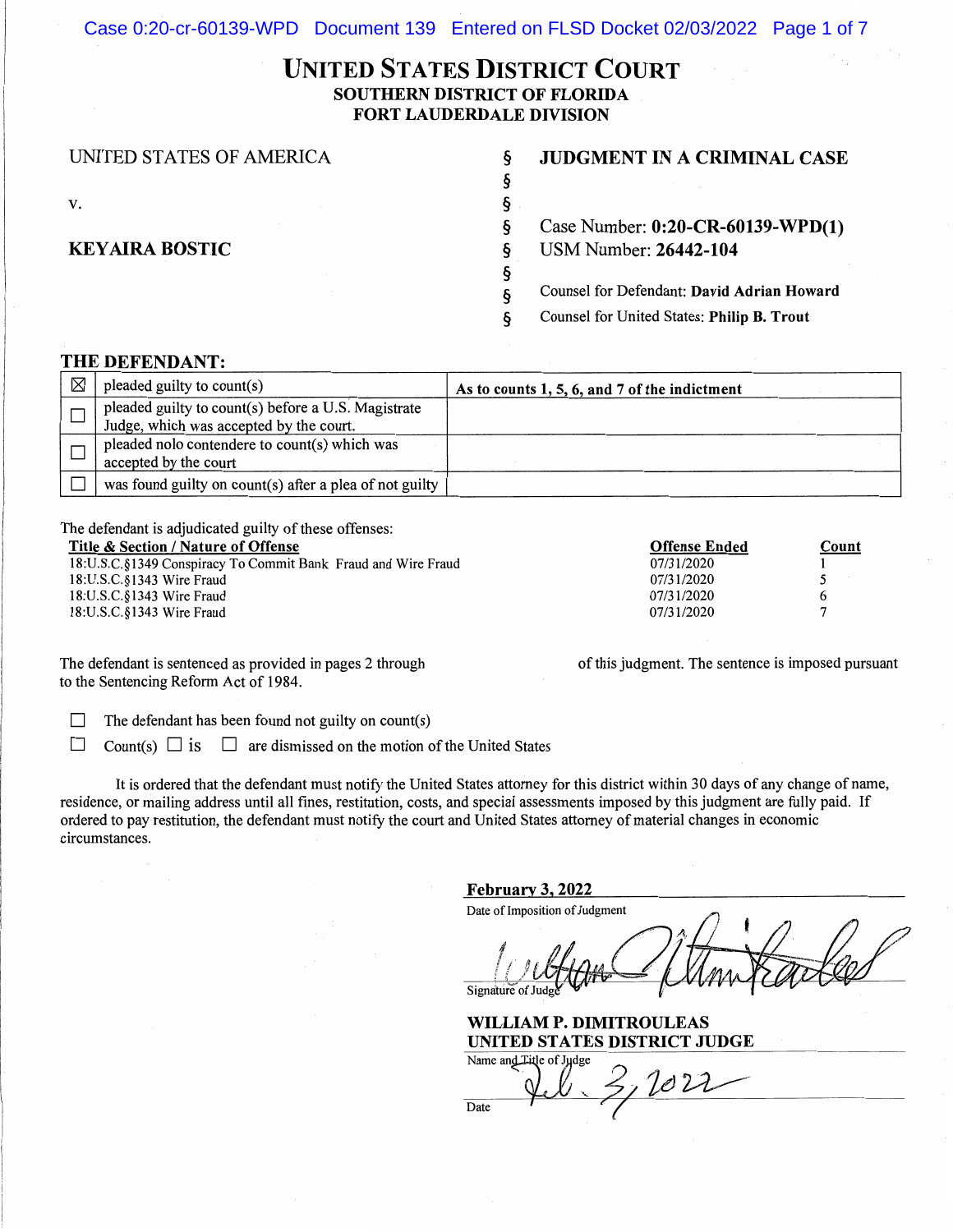# **UNITED STATES DISTRICT COURT SOUTHERN DISTRICT OF FLORIDA FORT LAUDERDALE DIVISION**

| UNITED STATES OF AMERICA | δ | <b>JUDGMENT IN A CRIMINAL CASE</b>         |
|--------------------------|---|--------------------------------------------|
|                          | ঽ |                                            |
| V.                       | Ą |                                            |
|                          | ২ | Case Number: $0:20$ -CR-60139-WPD(1)       |
| <b>KEYAIRA BOSTIC</b>    | ò | <b>USM Number: 26442-104</b>               |
|                          | Ś |                                            |
|                          | δ | Counsel for Defendant: David Adrian Howard |
|                          | δ | Counsel for United States: Philip B. Trout |
|                          |   |                                            |

### **THE DEFENDANT:**

| $\boxtimes$ | pleaded guilty to count(s)                                                                     | As to counts 1, 5, 6, and 7 of the indictment |
|-------------|------------------------------------------------------------------------------------------------|-----------------------------------------------|
|             | pleaded guilty to count(s) before a U.S. Magistrate<br>Judge, which was accepted by the court. |                                               |
|             | pleaded nolo contendere to count(s) which was<br>accepted by the court                         |                                               |
|             | was found guilty on count(s) after a plea of not guilty                                        |                                               |

The defendant is adjudicated guilty of these offenses:

| Title & Section / Nature of Offense                           | <b>Offense Ended</b> | Count |
|---------------------------------------------------------------|----------------------|-------|
| 18:U.S.C.§1349 Conspiracy To Commit Bank Fraud and Wire Fraud | 07/31/2020           |       |
| $18:U.S.C.\$ §1343 Wire Fraud                                 | 07/31/2020           |       |
| $18:U.S.C.\$ §1343 Wire Fraud                                 | 07/31/2020           |       |
| 18:U.S.C. \$1343 Wire Fraud                                   | 07/31/2020           |       |
|                                                               |                      |       |

The defendant is sentenced as provided in pages 2 through to the Sentencing Reform Act of 1984.

of this judgment. The sentence is imposed pursuant

 $\Box$  The defendant has been found not guilty on count(s)

 $\Box$  Count(s)  $\Box$  is  $\Box$  are dismissed on the motion of the United States

It is ordered that the defendant must notify the United States attorney for this district within 30 days of any change of name, residence, or mailing address until all fines, restitution, costs, and special assessments imposed by this judgment are fully paid. If ordered to pay restitution, the defendant must notify the court and United States attorney of material changes in economic circumstances.

### **February 3, 2022**

Date of Imposition of Judgment

Signature

**WILLIAM P. DIMITROULEAS UNITED STATES DISTRICT JUDGE** 

Name and Title of Judge Date Vel. 3, 1022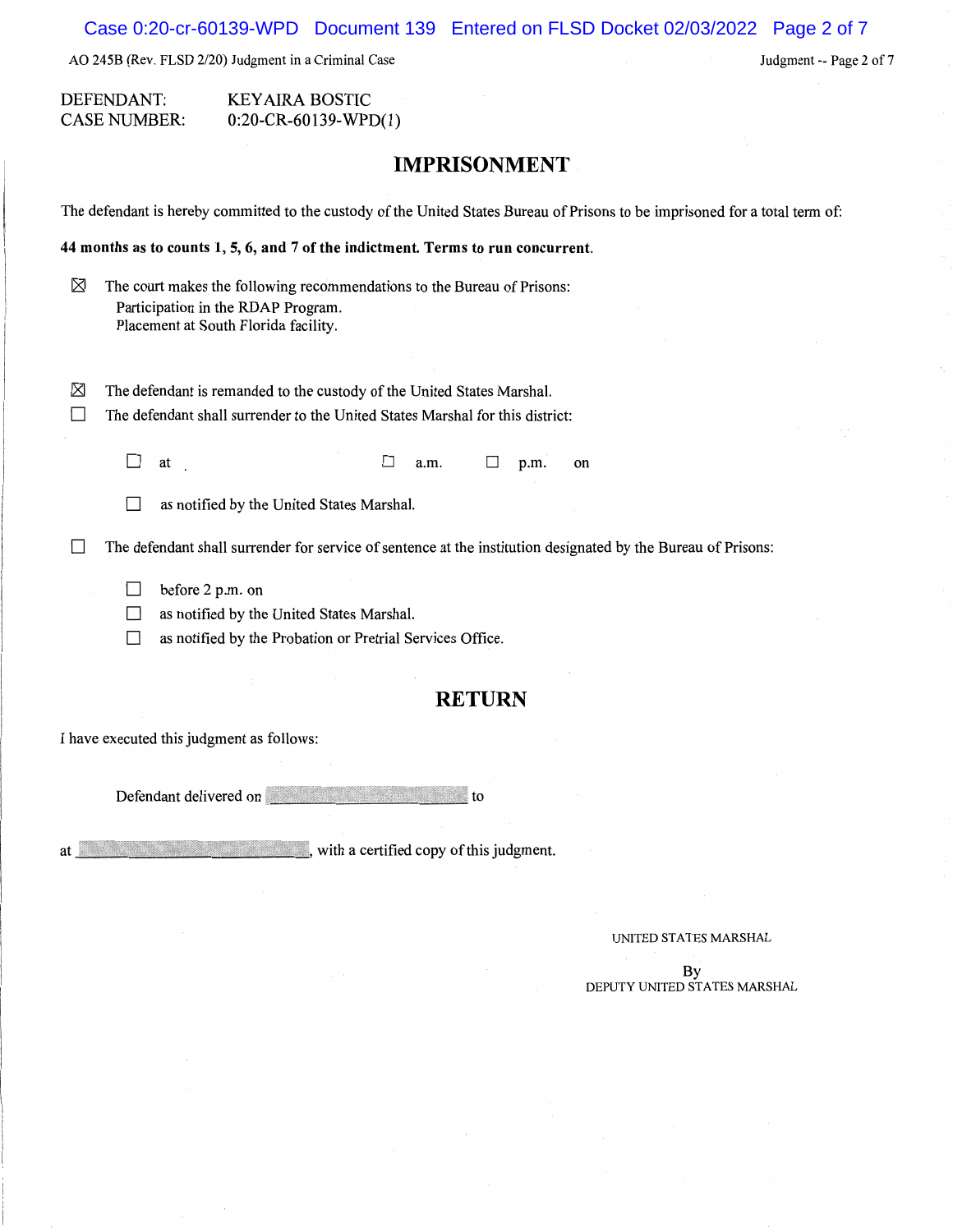Case 0:20-cr-60139-WPD Document 139 Entered on FLSD Docket 02/03/2022 Page 2 of 7

AO 245B (Rev. FLSD 2/20) Judgment in a Criminal Case Judgment -- Page 2 of 7

### DEFENDANT: KEY AIRA BOSTIC CASE NUMBER: 0:20-CR-60139-WPD( 1)

### **IMPRISONMENT**

The defendant is hereby committed to the custody of the United States Bureau of Prisons to be imprisoned for a total term of:

**44 months as to counts 1, 5, 6, and 7 of the indictment. Terms to run concurrent.** 

- $\boxtimes$  The court makes the following recommendations to the Bureau of Prisons: Participation in the RDAP Program. Placement at South Florida facility.
- $\boxtimes$  The defendant is remanded to the custody of the United States Marshal.
- $\Box$  The defendant shall surrender to the United States Marshal for this district:
	-

 $\Box$  at  $\Box$  a.m.  $\Box$  p.m. on

 $\Box$  as notified by the United States Marshal.

 $\Box$  The defendant shall surrender for service of sentence at the institution designated by the Bureau of Prisons:

- $\Box$  before 2 p.m. on
- $\Box$  as notified by the United States Marshal.
- $\Box$  as notified by the Probation or Pretrial Services Office.

# **RETURN**

I have executed this judgment as follows:

Defendant delivered on **the contract of the contract of the contract of the contract of the contract of the contract of the contract of the contract of the contract of the contract of the contract of the contract of the co** 

at a state of the state of the state of the state of the state of this judgment.

UNITED STATES MARSHAL

By DEPUTY UNITED STATES MARSHAL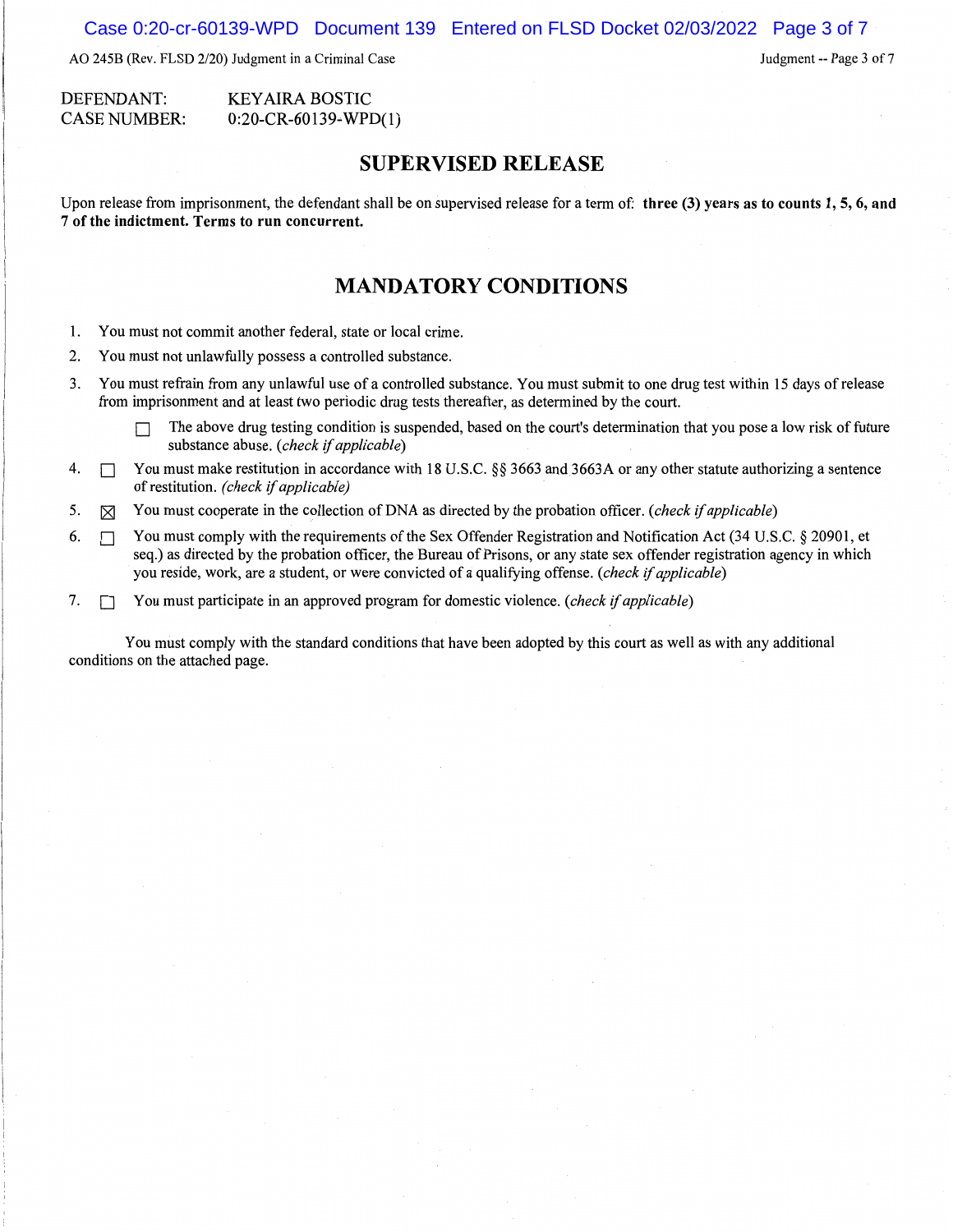AO 245B (Rev. FLSD 2/20) Judgment in a Criminal Case

Judgment -- Page 3 of 7

#### DEFENDANT: CASE NUMBER: KEY AIRA BOSTIC  $0:20$ -CR-60139-WPD(1)

### **SUPERVISED RELEASE**

Upon release from imprisonment, the defendant shall be on supervised release for a term of: **three (3) years as to counts 1, 5, 6, and 7 of the indictment. Terms to run concurrent.** 

### **MANDATORY CONDITIONS**

- 1. You must not commit another federal, state or local crime.
- 2. You must not unlawfully possess a controlled substance.
- 3. You must refrain from any unlawful use of a controlled substance. You must submit to one drug test within 15 days of release from imprisonment and at least two periodic drug tests thereafter, as determined by the court.
	- $\Box$  The above drug testing condition is suspended, based on the court's determination that you pose a low risk of future substance abuse. *(check* if *applicable)*
- 4.  $\Box$  You must make restitution in accordance with 18 U.S.C. §§ 3663 and 3663A or any other statute authorizing a sentence of restitution. *(check* if *applicable)*
- 5.  $\boxtimes$  You must cooperate in the collection of DNA as directed by the probation officer. *(check if applicable)*
- 6.  $\Box$  You must comply with the requirements of the Sex Offender Registration and Notification Act (34 U.S.C. § 20901, et seq.) as directed by the probation officer, the Bureau of Prisons, or any state sex offender registration agency in which you reside, work, are a student, or were convicted of a qualifying offense. ( *check* if *applicable)*
- 7. D You must participate in an approved program for domestic violence. ( *check* if *applicable)*

You must comply with the standard conditions that have been adopted by this court as well as with any additional conditions on the attached page.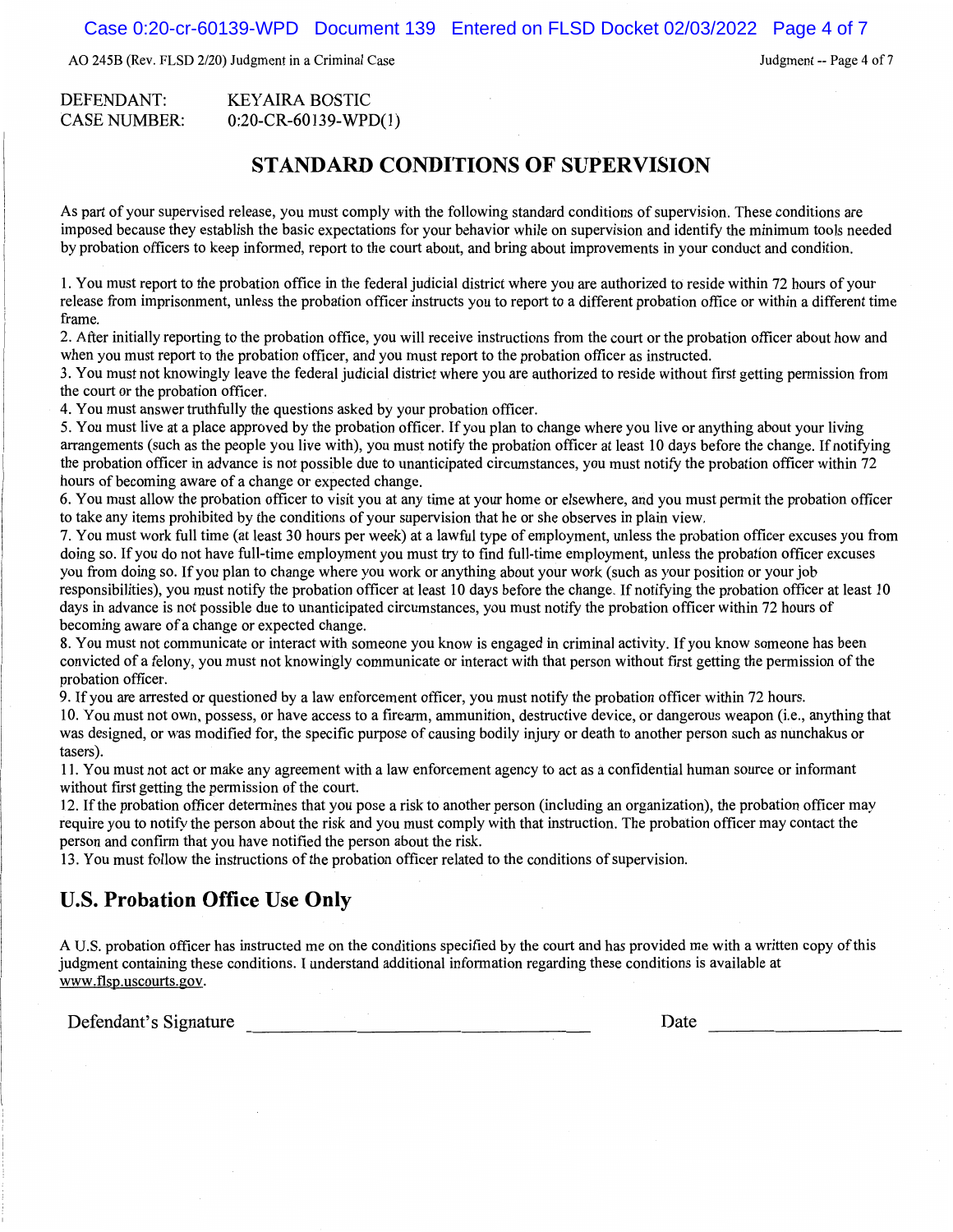AO 2458 (Rev. FLSD 2/20) Judgment in a Criminal Case

### Judgment -- Page 4 of 7

### DEFENDANT: CASE NUMBER: KEY AIRA BOSTIC 0:20-CR-60139-WPD(l)

# **STANDARD CONDITIONS OF SUPERVISION**

As part of your supervised release, you must comply with the following standard conditions of supervision. These conditions are imposed because they establish the basic expectations for your behavior while on supervision and identify the minimum tools needed by probation officers to keep informed, report to the court about, and bring about improvements in your conduct and condition.

1. You must report to the probation office in the federal judicial district where you are authorized to reside within 72 hours of your release from imprisonment, unless the probation officer instructs you to report to a different probation office or within a different time frame.

2. After initially reporting to the probation office, you will receive instructions from the court or the probation officer about how and when you must report to the probation officer, and you must report to the probation officer as instructed.

3. You must not knowingly leave the federal judicial district where you are authorized to reside without first getting permission from the court or the probation officer.

4. You must answer truthfully the questions asked by your probation officer.

5. You must live at a place approved by the probation officer. If you plan to change where you live or anything about your living arrangements (such as the people you live with), you must notify the probation officer at least 10 days before the change. If notifying the probation officer in advance is not possible due to unanticipated circumstances, you must notify the probation officer within 72 hours of becoming aware of a change or expected change.

6. You must allow the probation officer to visit you at any time at your home or elsewhere, and you must permit the probation officer to take any items prohibited by the conditions of your supervision that he or she observes in plain view.

7. You must work full time (at least 30 hours per week) at a lawful type of employment, unless the probation officer excuses you from doing so. If you do not have full-time employment you must try to find full-time employment, unless the probation officer excuses you from doing so. If you plan to change where you work or anything about your work (such as your position or your job responsibilities), you must notify the probation officer at least 10 days before the change. If notifying the probation officer at least 10 days in advance is not possible due to unanticipated circumstances, you must notify the probation officer within 72 hours of becoming aware of a change or expected change.

8. You must not communicate or interact with someone you know is engaged in criminal activity. If you know someone has been convicted of a felony, you must not knowingly communicate or interact with that person without first getting the permission of the probation officer.

9. If you are arrested or questioned by a law enforcement officer, you must notify the probation officer within 72 hours.

10. You must not own, possess, or have access to a firearm, ammunition, destructive device, or dangerous weapon (i.e., anything that was designed, or was modified for, the specific purpose of causing bodily injury or death to another person such as nunchakus or tasers).

11. You must not act or make any agreement with a law enforcement agency to act as a confidential human source or informant without first getting the permission of the court.

12. If the probation officer determines that you pose a risk to another person (including an organization), the probation officer may require you to notify the person about the risk and you must comply with that instruction. The probation officer may contact the person and confirm that you have notified the person about the risk.

13. You must follow the instructions of the probation officer related to the conditions of supervision.

## **U.S. Probation Office Use Only**

A U.S. probation officer has instructed me on the conditions specified by the court and has provided me with a written copy of this judgment containing these conditions. I understand additional information regarding these conditions is available at www.flsp.uscourts.gov.

Defendant's Signature Date Date Date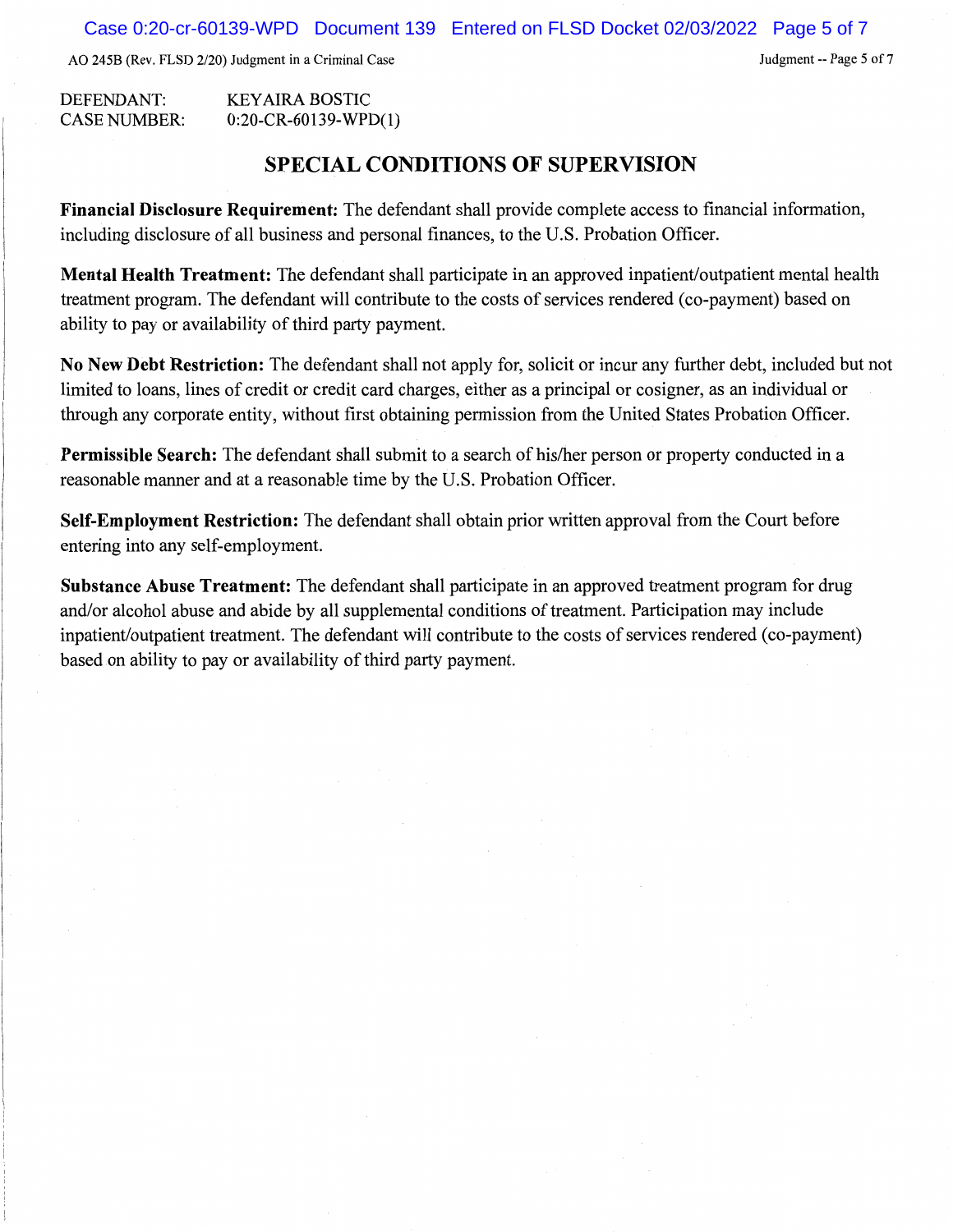Judgment -- Page *5* of 7

AO 245B (Rev. FLSD 2/20) Judgment in a Criminal Case

DEFENDANT: CASE NUMBER: KEY AIRA BOSTIC 0:20-CR-60139-WPD( 1)

# **SPECIAL CONDITIONS OF SUPERVISION**

**Financial Disclosure Requirement:** The defendant shall provide complete access to financial information, including disclosure of all business and personal finances, to the U.S. Probation Officer.

**Mental Health Treatment:** The defendant shall participate in an approved inpatient/outpatient mental health treatment program. The defendant will contribute to the costs of services rendered ( co-payment) based on ability to pay or availability of third party payment.

**No New Debt Restriction:** The defendant shall not apply for, solicit or incur any further debt, included but not limited to loans, lines of credit or credit card charges, either as a principal or cosigner, as an individual or through any corporate entity, without first obtaining permission from the United States Probation Officer.

**Permissible Search:** The defendant shall submit to a search of his/her person or property conducted in a reasonable manner and at a reasonable time by the U.S. Probation Officer.

**Self-Employment Restriction:** The defendant shall obtain prior written approval from the Court before entering into any self-employment.

**Substance Abuse Treatment:** The defendant shall participate in an approved treatment program for drug and/or alcohol abuse and abide by all supplemental conditions of treatment. Participation may include inpatient/outpatient treatment. The defendant will contribute to the costs of services rendered (co-payment) based on ability to pay or availability of third party payment.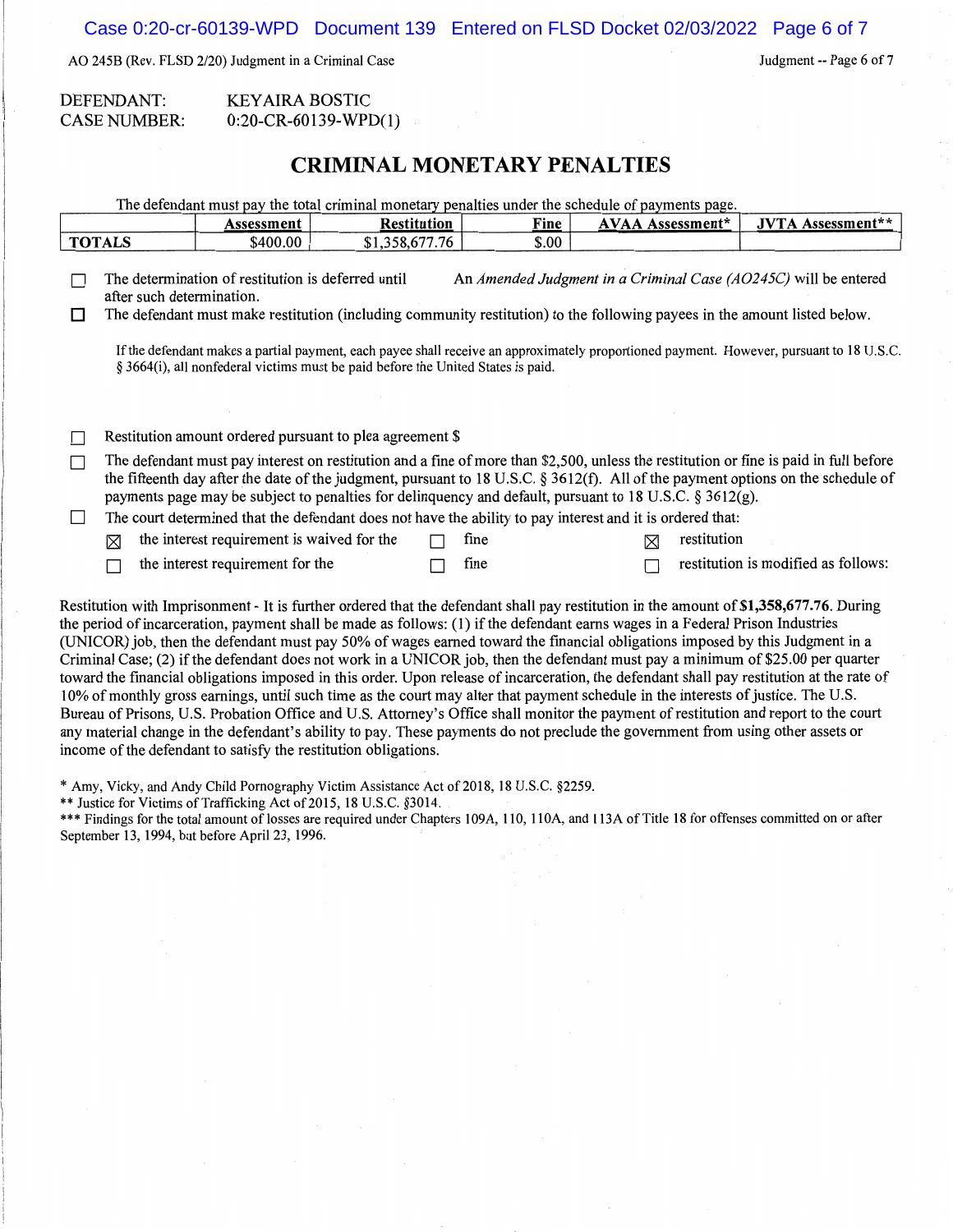AO 245B (Rev. FLSD 2/20) Judgment in a Criminal Case

Judgment -- Page 6 of 7

| DEFENDANT:   | KEYAIRA BOSTIC          |
|--------------|-------------------------|
| CASE NUMBER: | $0:20$ -CR-60139-WPD(1) |

## **CRIMINAL MONETARY PENALTIES**

| The defendant must pay the total criminal monetary penalties under the schedule of payments page. |                                                                                                                                                                                                                                                                                                                                                                                      |  |                                                                                                                                                                                                                                                                     |                    |  |       |                         |             |                                                                                                                                                                                                                                                                                                                                                                                                                                                                                                                                                                                                                                                                                                |
|---------------------------------------------------------------------------------------------------|--------------------------------------------------------------------------------------------------------------------------------------------------------------------------------------------------------------------------------------------------------------------------------------------------------------------------------------------------------------------------------------|--|---------------------------------------------------------------------------------------------------------------------------------------------------------------------------------------------------------------------------------------------------------------------|--------------------|--|-------|-------------------------|-------------|------------------------------------------------------------------------------------------------------------------------------------------------------------------------------------------------------------------------------------------------------------------------------------------------------------------------------------------------------------------------------------------------------------------------------------------------------------------------------------------------------------------------------------------------------------------------------------------------------------------------------------------------------------------------------------------------|
|                                                                                                   |                                                                                                                                                                                                                                                                                                                                                                                      |  | Assessment                                                                                                                                                                                                                                                          | <b>Restitution</b> |  | Fine  | <b>AVAA Assessment*</b> |             | <b>JVTA Assessment**</b>                                                                                                                                                                                                                                                                                                                                                                                                                                                                                                                                                                                                                                                                       |
| <b>TOTALS</b>                                                                                     |                                                                                                                                                                                                                                                                                                                                                                                      |  | \$400.00                                                                                                                                                                                                                                                            | \$1,358,677.76     |  | \$.00 |                         |             |                                                                                                                                                                                                                                                                                                                                                                                                                                                                                                                                                                                                                                                                                                |
| □                                                                                                 | An Amended Judgment in a Criminal Case (AO245C) will be entered<br>The determination of restitution is deferred until<br>after such determination.<br>The defendant must make restitution (including community restitution) to the following payees in the amount listed below.                                                                                                      |  |                                                                                                                                                                                                                                                                     |                    |  |       |                         |             |                                                                                                                                                                                                                                                                                                                                                                                                                                                                                                                                                                                                                                                                                                |
|                                                                                                   |                                                                                                                                                                                                                                                                                                                                                                                      |  | § 3664(i), all nonfederal victims must be paid before the United States is paid.                                                                                                                                                                                    |                    |  |       |                         |             | If the defendant makes a partial payment, each payee shall receive an approximately proportioned payment. However, pursuant to 18 U.S.C.                                                                                                                                                                                                                                                                                                                                                                                                                                                                                                                                                       |
|                                                                                                   | Restitution amount ordered pursuant to plea agreement \$                                                                                                                                                                                                                                                                                                                             |  |                                                                                                                                                                                                                                                                     |                    |  |       |                         |             |                                                                                                                                                                                                                                                                                                                                                                                                                                                                                                                                                                                                                                                                                                |
| П                                                                                                 | The defendant must pay interest on restitution and a fine of more than \$2,500, unless the restitution or fine is paid in full before<br>the fifteenth day after the date of the judgment, pursuant to 18 U.S.C. § 3612(f). All of the payment options on the schedule of<br>payments page may be subject to penalties for delinquency and default, pursuant to 18 U.S.C. § 3612(g). |  |                                                                                                                                                                                                                                                                     |                    |  |       |                         |             |                                                                                                                                                                                                                                                                                                                                                                                                                                                                                                                                                                                                                                                                                                |
| $\Box$                                                                                            | The court determined that the defendant does not have the ability to pay interest and it is ordered that:                                                                                                                                                                                                                                                                            |  |                                                                                                                                                                                                                                                                     |                    |  |       |                         |             |                                                                                                                                                                                                                                                                                                                                                                                                                                                                                                                                                                                                                                                                                                |
|                                                                                                   | X                                                                                                                                                                                                                                                                                                                                                                                    |  | the interest requirement is waived for the                                                                                                                                                                                                                          |                    |  | fine  | ⊠                       | restitution |                                                                                                                                                                                                                                                                                                                                                                                                                                                                                                                                                                                                                                                                                                |
|                                                                                                   |                                                                                                                                                                                                                                                                                                                                                                                      |  | the interest requirement for the                                                                                                                                                                                                                                    |                    |  | fine  |                         |             | restitution is modified as follows:                                                                                                                                                                                                                                                                                                                                                                                                                                                                                                                                                                                                                                                            |
|                                                                                                   |                                                                                                                                                                                                                                                                                                                                                                                      |  | the period of incarceration, payment shall be made as follows: (1) if the defendant earns wages in a Federal Prison Industries<br>10% of monthly gross earnings, until such time as the court may alter that payment schedule in the interests of justice. The U.S. |                    |  |       |                         |             | Restitution with Imprisonment - It is further ordered that the defendant shall pay restitution in the amount of \$1,358,677.76. During<br>(UNICOR) job, then the defendant must pay 50% of wages earned toward the financial obligations imposed by this Judgment in a<br>Criminal Case; (2) if the defendant does not work in a UNICOR job, then the defendant must pay a minimum of \$25.00 per quarter<br>toward the financial obligations imposed in this order. Upon release of incarceration, the defendant shall pay restitution at the rate of<br>Bureau of Prisons, U.S. Probation Office and U.S. Attorney's Office shall monitor the payment of restitution and report to the court |

\* Amy, Vicky, and Andy Child Pornography Victim Assistance Act of 2018, 18 U.S.C. §2259.

\*\* Justice for Victims of Trafficking Act of 2015, 18 U.S.C. §3014.

income of the defendant to satisfy the restitution obligations.

\*\*\* Findings for the total amount of losses are required under Chapters 109A, 110, 110A, and 113A of Title 18 for offenses committed on or after September 13, 1994, but before April 23, 1996.

any material change in the defendant's ability to pay. These payments do not preclude the government from using other assets or